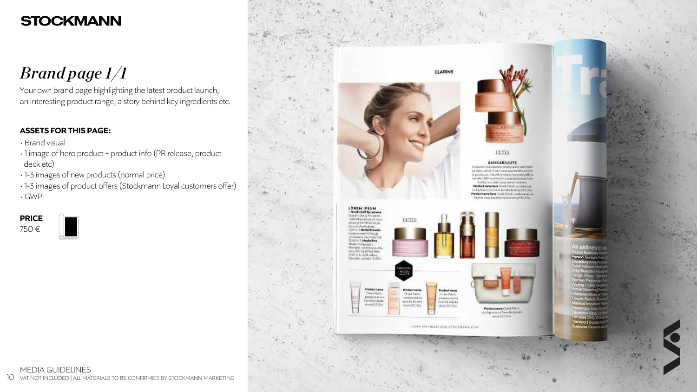# *Brand page 1/1*

### **ASSETS FOR THIS PAGE:**

Your own brand page highlighting the latest product launch, an interesting product range, a story behind key ingredients etc.

### **PRICE**

750 €



- Brand visual
- 1 image of hero product + product info (PR release, product deck etc)
- 1-3 images of new products (normal price)
- 1-3 images of product offers (Stockmann Loyal customers offer) • GWP

### MEDIA GUIDELINES 10 VAT NOT INCLUDED | ALL MATERIALS TO BE CONFIRMED BY STOCKMANN MARKETING







#### **LUXES**

#### **SANKARIUUTE**

in Turn's real-liquidation face foot field with water offering call the villabilities approximate is settled. a posiqura. Häivikulttai sutui posi pide ja ordia 106C-1 your SA an Enropolate identify htel-kill, terry likit vranmentsteden mindeling Froduct name here Chain Fabric -problems in Australia myös kaant la Kakaskutavya SCP, Villa reduct name hem Elsen Falinc quali pussanto within reyon have the Rose in a RAVA 502 2016.



**Productionary** Cheek Fabris  $-1700$  (s)  $141.40$ **North Afghade**  $-10$  eyes  $557, 10$  m.

**Product name** Product rum Check Fabric **ChanceFabric** 60004 at \$100 groskiminista voz special Escala son la Yokoda MeVe302, 33 p. 69358,507,171m





Product name/Claudi hatch<br>professoria voltame/hatchinde Milled Robert Blvd.

PAW PREPIRAATIOTA 17Q CKHANE, CON

**Reaport Surger! AND ARRAIGNMENT** 

32

 $\mathcal{L}^{\mathcal{I}}$  . As a final set of

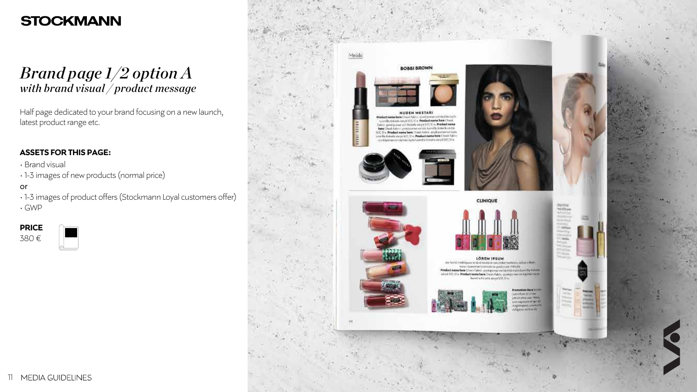## *Brand page 1/2 option A with brand visual / product message*

### • **ASSETS FOR THIS PAGE:**

Half page dedicated to your brand focusing on a new launch, latest product range etc.

- Brand visual
- 1-3 images of new products (normal price)
- or
- 1-3 images of product offers (Stockmann Loyal customers offer)
- GWP

**PRICE**

380 €

















CLINIQUE

LÖREM IPSUM are have in model grass or strainlessing a way to be thanker as yellower and news-gurenten fuormate in pushpase: Hilleyla ... Product name have Chevy Tabyi: apoklycovia vorility tolicival a last villa Kohem. nived 10), 11 a. Product name here Cheek Fabito-positional volumità inverkeer@sckstada.airpa.html.51e...





Fremedien Hara III im profitered from **HOD HELDS NOW** 

TRAIN

1000





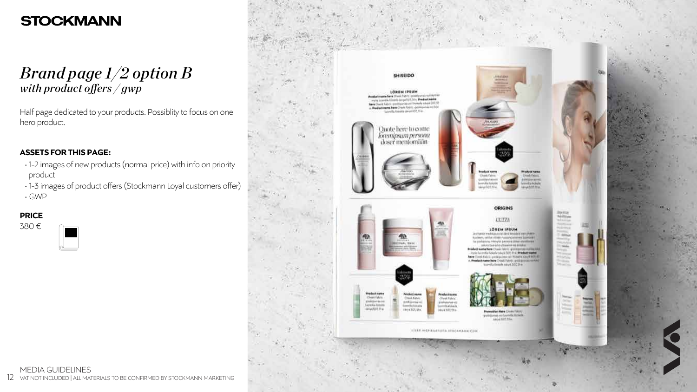## *Brand page 1/2 option B* with product offers / gwp

### **ASSETS FOR THIS PAGE:**

Half page dedicated to your products. Possiblity to focus on one hero product.

- 1-2 images of new products (normal price) with info on priority product
- 1-3 images of product offers (Stockmann Loyal customers offer)
- GWP

### **PRICE**

380 €



### MEDIA GUIDELINES 12 VAT NOT INCLUDED | ALL MATERIALS TO BE CONFIRMED BY STOCKMANN MARKETING





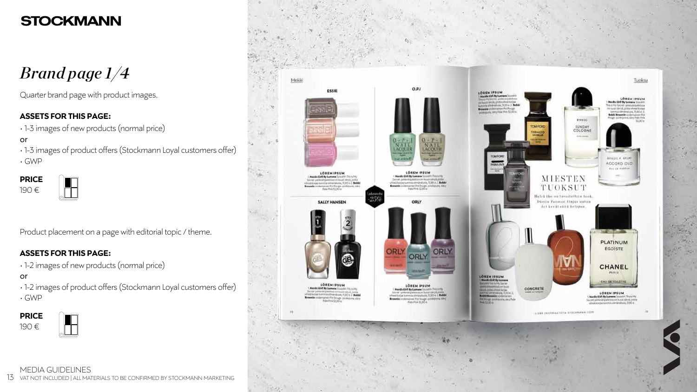*Brand page 1/4*

### **ASSETS FOR THIS PAGE:**

Quarter brand page with product images.

• 1-3 images of new products (normal price)

or

- 1-3 images of product offers (Stockmann Loyal customers offer)
- GWP

| <b>PRICE</b> |  |
|--------------|--|
| 190 €        |  |



### **ASSETS FOR THIS PAGE:**

Product placement on a page with editorial topic / theme.

• 1-2 images of new products (normal price)

or

- 1-2 images of product offers (Stockmann Loyal customers offer)
- GWP

**PRICE** 190 €





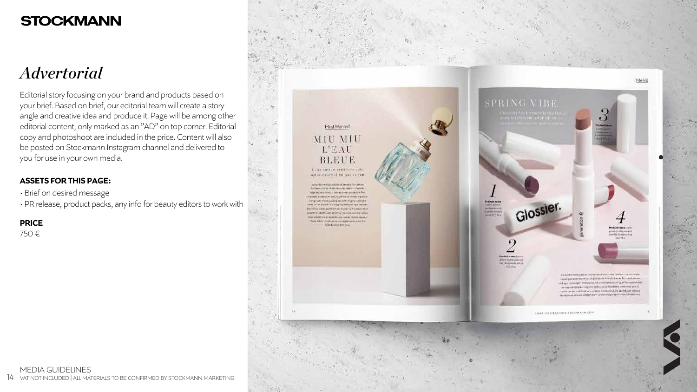# *Advertorial*

### **ASSETS FOR THIS PAGE:**

Editorial story focusing on your brand and products based on your brief. Based on brief, our editorial team will create a story angle and creative idea and produce it. Page will be among other editorial content, only marked as an "AD" on top corner. Editorial copy and photoshoot are included in the price. Content will also be posted on Stockmann Instagram channel and delivered to you for use in your own media.

- Brief on desired message
- PR release, product packs, any info for beauty editors to work with

**PRICE**

750 €

**Build all yields** 



EISAA INSTRAATIOTA STREAMMAN, COM